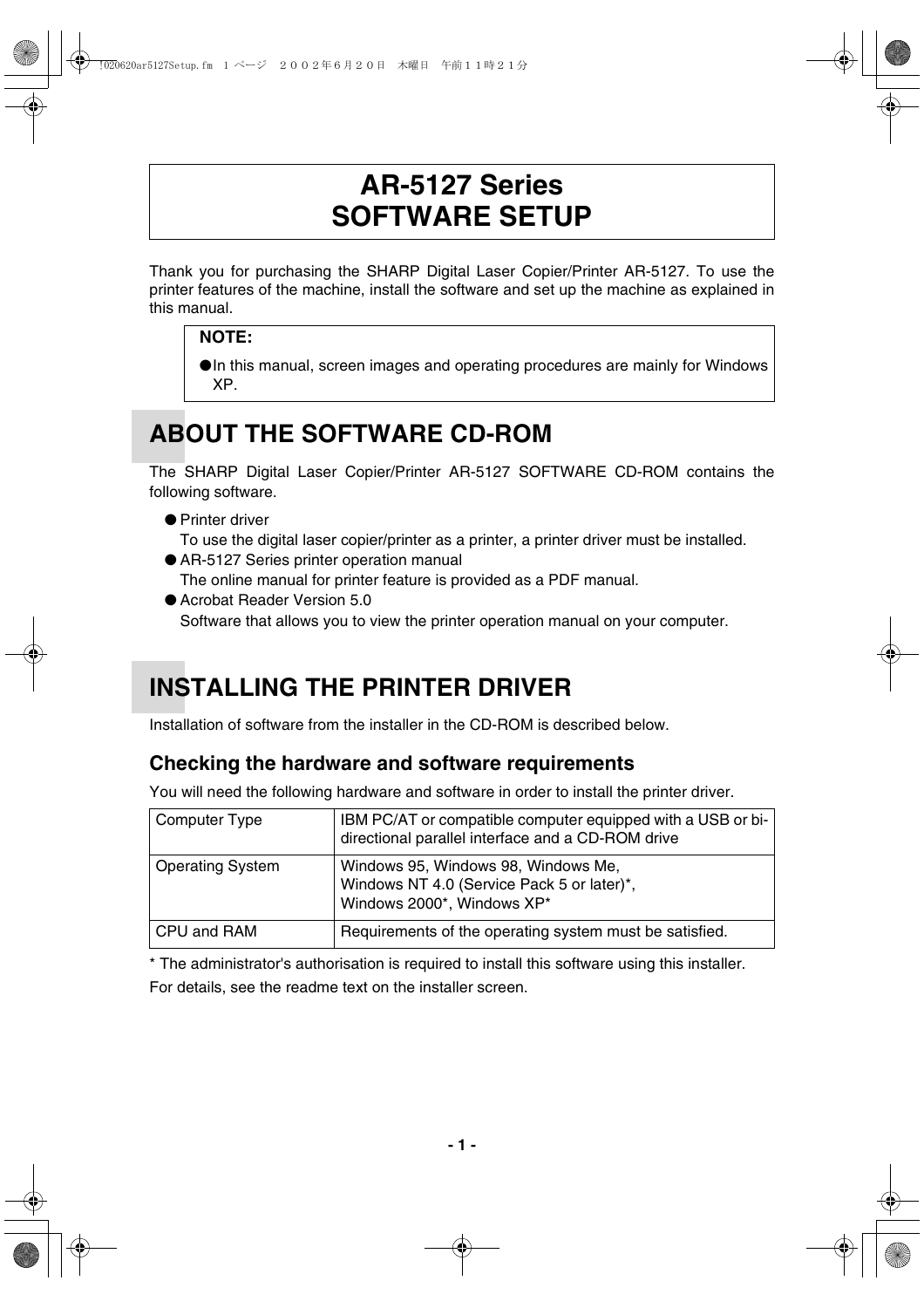### **AR-5127 Series SOFTWARE SETUP**

Thank you for purchasing the SHARP Digital Laser Copier/Printer AR-5127. To use the printer features of the machine, install the software and set up the machine as explained in this manual.

### **NOTE:**

●In this manual, screen images and operating procedures are mainly for Windows XP.

# **ABOUT THE SOFTWARE CD-ROM**

The SHARP Digital Laser Copier/Printer AR-5127 SOFTWARE CD-ROM contains the following software.

● Printer driver

To use the digital laser copier/printer as a printer, a printer driver must be installed.

- AR-5127 Series printer operation manual The online manual for printer feature is provided as a PDF manual.
- Acrobat Reader Version 5.0 Software that allows you to view the printer operation manual on your computer.

# **INSTALLING THE PRINTER DRIVER**

Installation of software from the installer in the CD-ROM is described below.

### **Checking the hardware and software requirements**

You will need the following hardware and software in order to install the printer driver.

| Computer Type           | IBM PC/AT or compatible computer equipped with a USB or bi-<br>directional parallel interface and a CD-ROM drive |
|-------------------------|------------------------------------------------------------------------------------------------------------------|
| <b>Operating System</b> | Windows 95, Windows 98, Windows Me,<br>Windows NT 4.0 (Service Pack 5 or later)*,<br>Windows 2000*, Windows XP*  |
| CPU and RAM             | Requirements of the operating system must be satisfied.                                                          |

\* The administrator's authorisation is required to install this software using this installer. For details, see the readme text on the installer screen.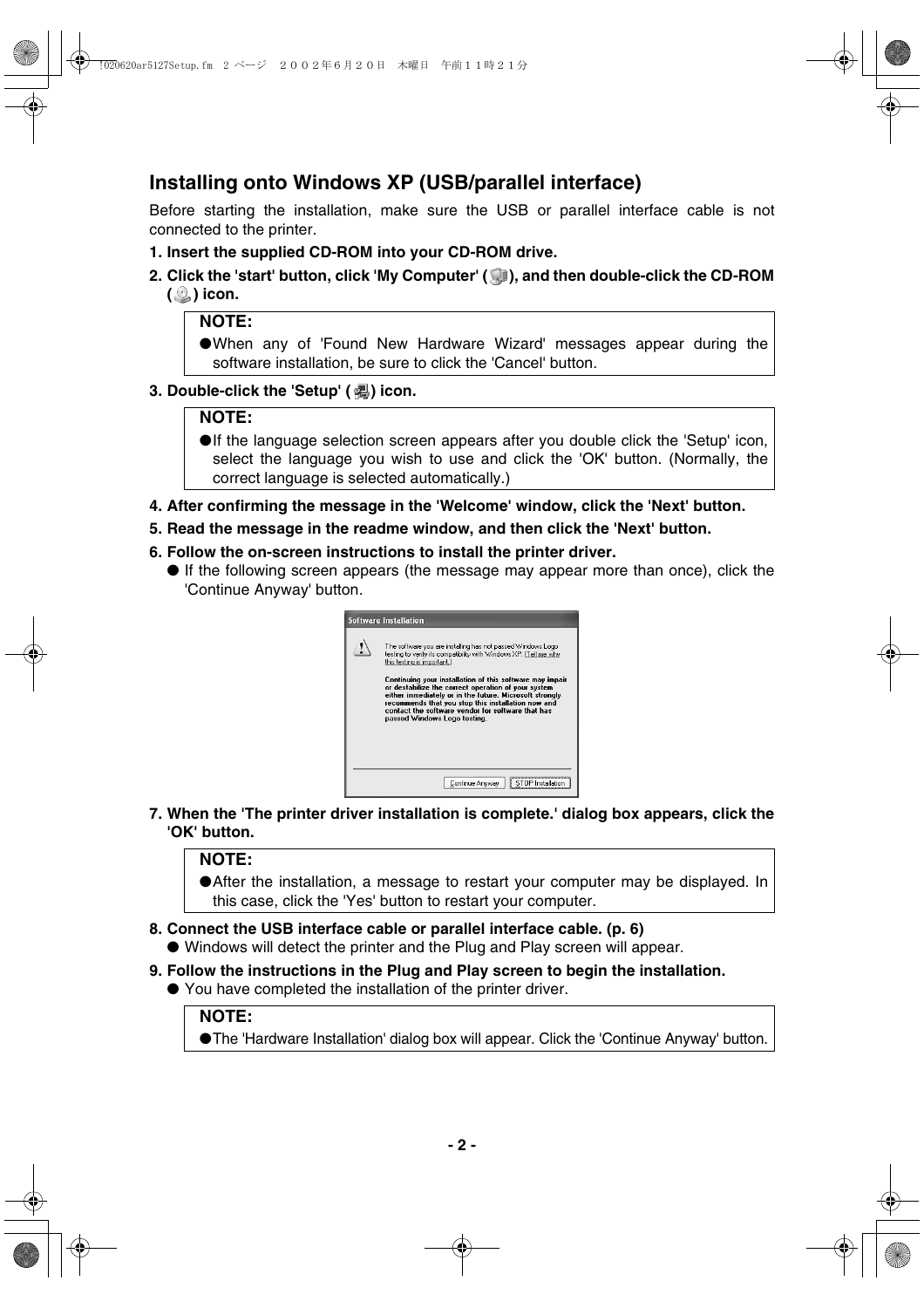### **Installing onto Windows XP (USB/parallel interface)**

Before starting the installation, make sure the USB or parallel interface cable is not connected to the printer.

- **1. Insert the supplied CD-ROM into your CD-ROM drive.**
- **2. Click the 'start' button, click 'My Computer' ( ), and then double-click the CD-ROM ( ) icon.**

#### **NOTE:**

●When any of 'Found New Hardware Wizard' messages appear during the software installation, be sure to click the 'Cancel' button.

**3. Double-click the 'Setup' (a) icon.** 

#### **NOTE:**

●If the language selection screen appears after you double click the 'Setup' icon, select the language you wish to use and click the 'OK' button. (Normally, the correct language is selected automatically.)

- **4. After confirming the message in the 'Welcome' window, click the 'Next' button.**
- **5. Read the message in the readme window, and then click the 'Next' button.**
- **6. Follow the on-screen instructions to install the printer driver.**
	- If the following screen appears (the message may appear more than once), click the 'Continue Anyway' button.



**7. When the 'The printer driver installation is complete.' dialog box appears, click the 'OK' button.**

#### **NOTE:**

●After the installation, a message to restart your computer may be displayed. In this case, click the 'Yes' button to restart your computer.

- **8. Connect the USB interface cable or parallel interface cable. (p. 6)**
	- Windows will detect the printer and the Plug and Play screen will appear.
- **9. Follow the instructions in the Plug and Play screen to begin the installation.**
	- You have completed the installation of the printer driver.

#### **NOTE:**

●The 'Hardware Installation' dialog box will appear. Click the 'Continue Anyway' button.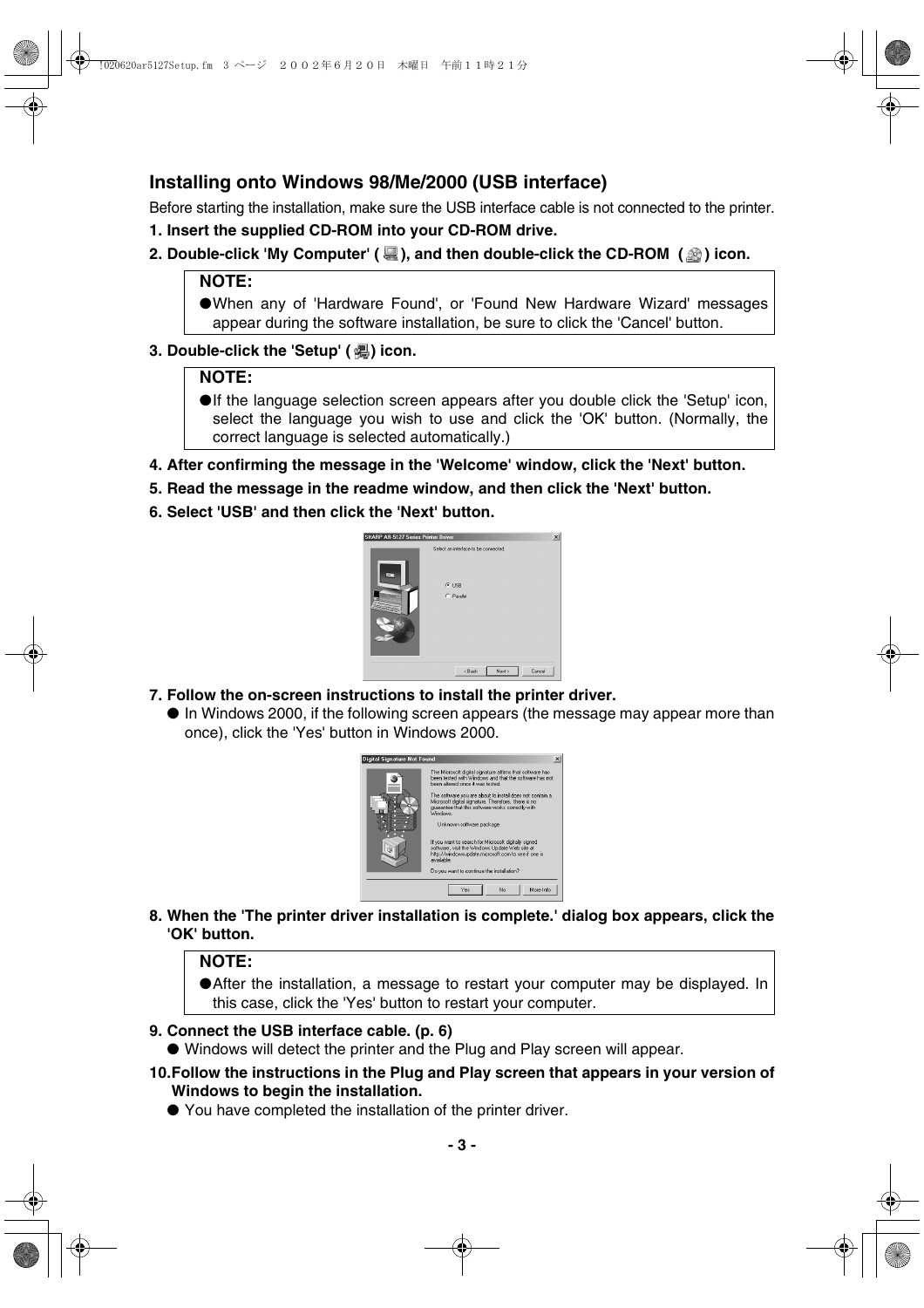### **Installing onto Windows 98/Me/2000 (USB interface)**

Before starting the installation, make sure the USB interface cable is not connected to the printer.

- **1. Insert the supplied CD-ROM into your CD-ROM drive.**
- **2. Double-click 'My Computer' (** $\mathbf{Q}$ ), and then double-click the CD-ROM ( $\mathbf{Q}$ ) icon.

#### **NOTE:**

●When any of 'Hardware Found', or 'Found New Hardware Wizard' messages appear during the software installation, be sure to click the 'Cancel' button.

#### **3. Double-click the 'Setup' ( ) icon.**

#### **NOTE:**

- ●If the language selection screen appears after you double click the 'Setup' icon, select the language you wish to use and click the 'OK' button. (Normally, the correct language is selected automatically.)
- **4. After confirming the message in the 'Welcome' window, click the 'Next' button.**
- **5. Read the message in the readme window, and then click the 'Next' button.**
- **6. Select 'USB' and then click the 'Next' button.**



- **7. Follow the on-screen instructions to install the printer driver.**
	- In Windows 2000, if the following screen appears (the message may appear more than once), click the 'Yes' button in Windows 2000.



**8. When the 'The printer driver installation is complete.' dialog box appears, click the 'OK' button.**

#### **NOTE:**

●After the installation, a message to restart your computer may be displayed. In this case, click the 'Yes' button to restart your computer.

#### **9. Connect the USB interface cable. (p. 6)**

- Windows will detect the printer and the Plug and Play screen will appear.
- **10.Follow the instructions in the Plug and Play screen that appears in your version of Windows to begin the installation.**
	- You have completed the installation of the printer driver.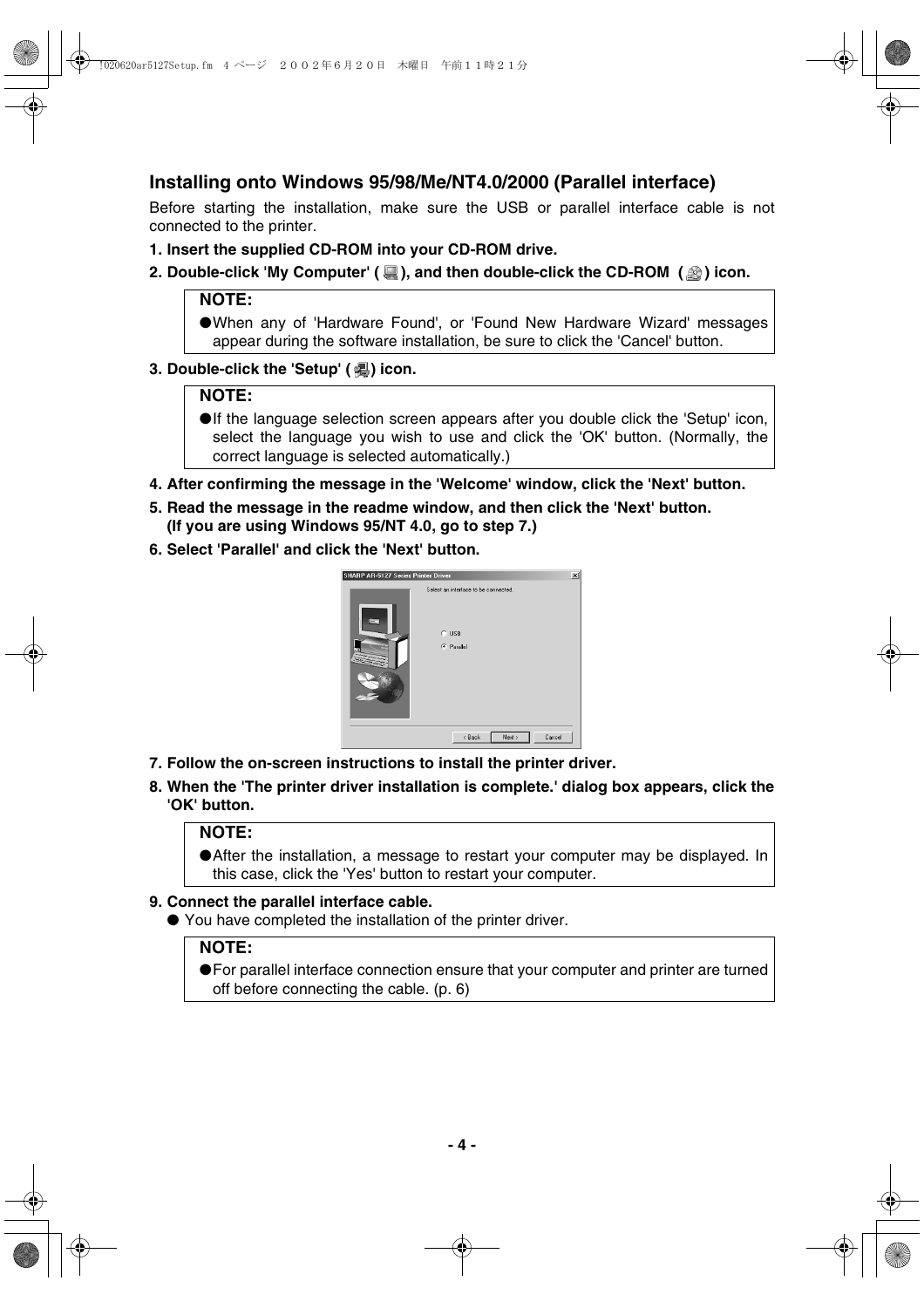### **Installing onto Windows 95/98/Me/NT4.0/2000 (Parallel interface)**

Before starting the installation, make sure the USB or parallel interface cable is not connected to the printer.

- **1. Insert the supplied CD-ROM into your CD-ROM drive.**
- **2. Double-click 'My Computer' (** $\mathbb{R}$ **), and then double-click the CD-ROM (** $\mathbb{R}$ **) icon.**

#### **NOTE:**

●When any of 'Hardware Found', or 'Found New Hardware Wizard' messages appear during the software installation, be sure to click the 'Cancel' button.

#### **3. Double-click the 'Setup' (a) icon.**

#### **NOTE:**

- ●If the language selection screen appears after you double click the 'Setup' icon, select the language you wish to use and click the 'OK' button. (Normally, the correct language is selected automatically.)
- **4. After confirming the message in the 'Welcome' window, click the 'Next' button.**
- **5. Read the message in the readme window, and then click the 'Next' button. (If you are using Windows 95/NT 4.0, go to step 7.)**
- **6. Select 'Parallel' and click the 'Next' button.**



- **7. Follow the on-screen instructions to install the printer driver.**
- **8. When the 'The printer driver installation is complete.' dialog box appears, click the 'OK' button.**

#### **NOTE:**

●After the installation, a message to restart your computer may be displayed. In this case, click the 'Yes' button to restart your computer.

#### **9. Connect the parallel interface cable.**

● You have completed the installation of the printer driver.

#### **NOTE:**

●For parallel interface connection ensure that your computer and printer are turned off before connecting the cable. (p. 6)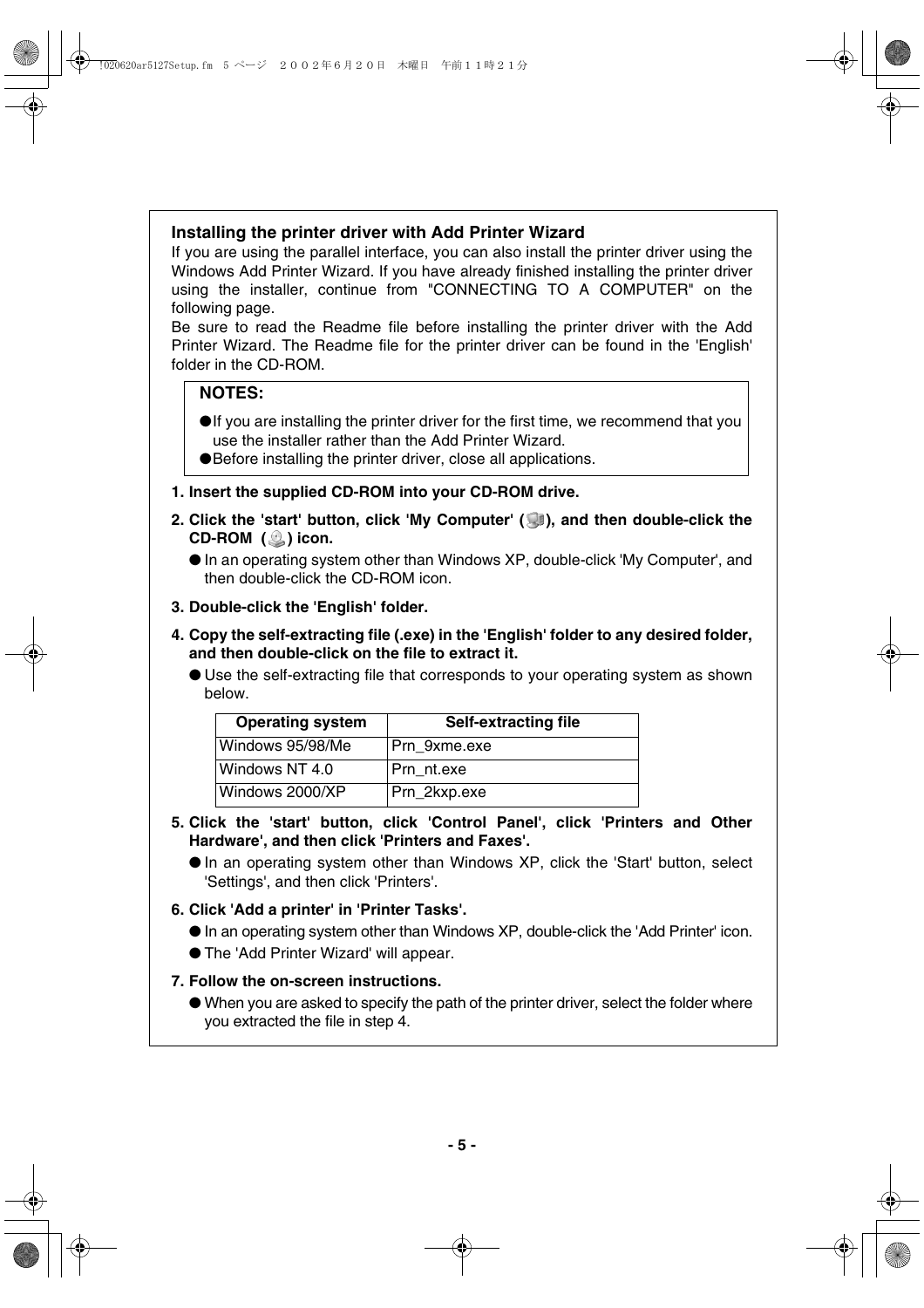#### **Installing the printer driver with Add Printer Wizard**

If you are using the parallel interface, you can also install the printer driver using the Windows Add Printer Wizard. If you have already finished installing the printer driver using the installer, continue from "CONNECTING TO A COMPUTER" on the following page.

Be sure to read the Readme file before installing the printer driver with the Add Printer Wizard. The Readme file for the printer driver can be found in the 'English' folder in the CD-ROM.

#### **NOTES:**

- ●If you are installing the printer driver for the first time, we recommend that you use the installer rather than the Add Printer Wizard.
- ●Before installing the printer driver, close all applications.
- **1. Insert the supplied CD-ROM into your CD-ROM drive.**
- **2. Click the 'start' button, click 'My Computer' ( ), and then double-click the** CD-ROM (**C**) icon.

- **3. Double-click the 'English' folder.**
- **4. Copy the self-extracting file (.exe) in the 'English' folder to any desired folder, and then double-click on the file to extract it.**
	- Use the self-extracting file that corresponds to your operating system as shown below.

| <b>Operating system</b> | <b>Self-extracting file</b> |
|-------------------------|-----------------------------|
| Windows 95/98/Me        | Prn 9xme.exe                |
| Windows NT 4.0          | Prn nt.exe                  |
| Windows 2000/XP         | Prn_2kxp.exe                |

#### **5. Click the 'start' button, click 'Control Panel', click 'Printers and Other Hardware', and then click 'Printers and Faxes'.**

● In an operating system other than Windows XP, click the 'Start' button, select 'Settings', and then click 'Printers'.

#### **6. Click 'Add a printer' in 'Printer Tasks'.**

- In an operating system other than Windows XP, double-click the 'Add Printer' icon.
- The 'Add Printer Wizard' will appear.

#### **7. Follow the on-screen instructions.**

● When you are asked to specify the path of the printer driver, select the folder where you extracted the file in step 4.

<sup>●</sup> In an operating system other than Windows XP, double-click 'My Computer', and then double-click the CD-ROM icon.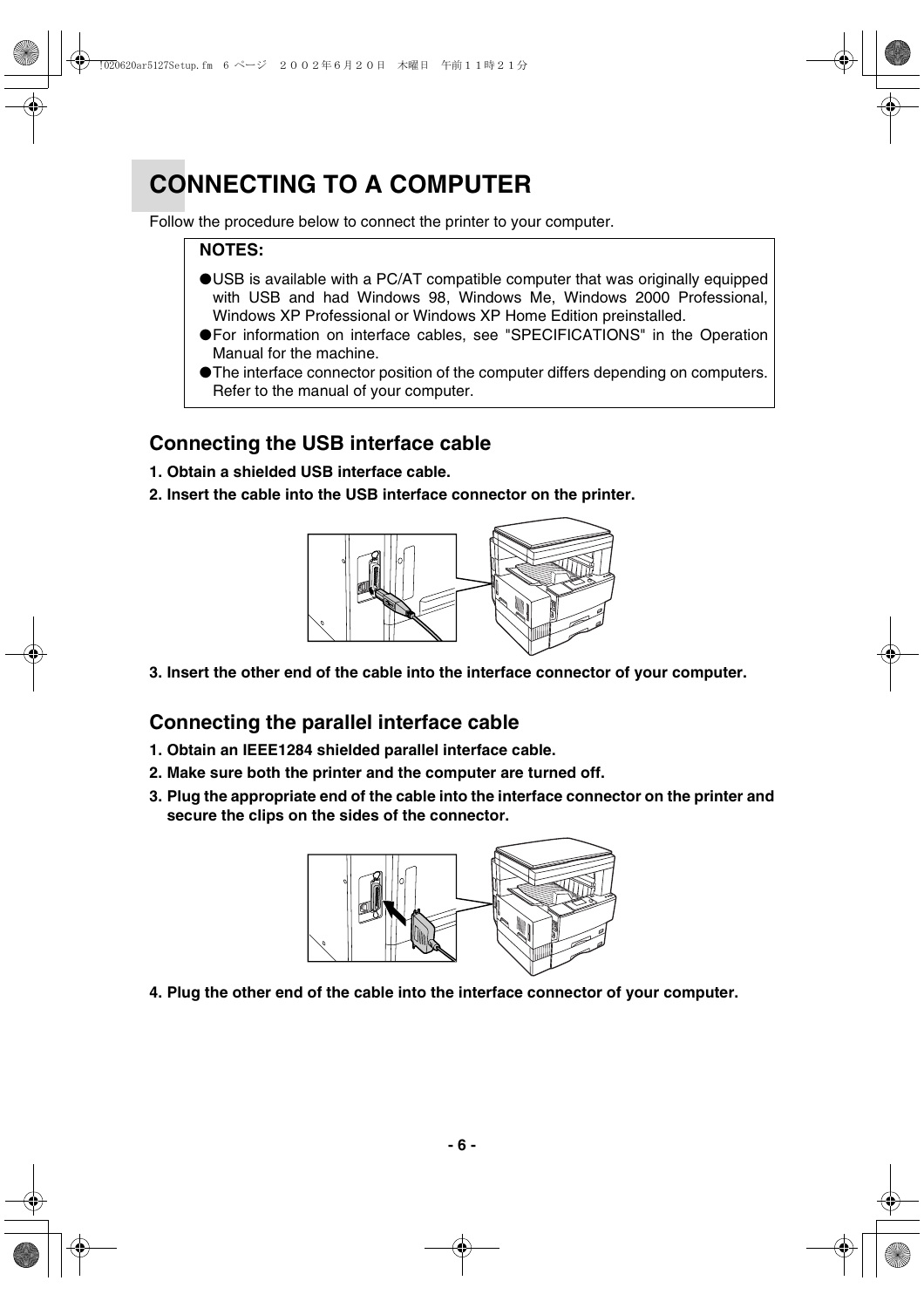# **CONNECTING TO A COMPUTER**

Follow the procedure below to connect the printer to your computer.

#### **NOTES:**

- ●USB is available with a PC/AT compatible computer that was originally equipped with USB and had Windows 98, Windows Me, Windows 2000 Professional, Windows XP Professional or Windows XP Home Edition preinstalled.
- ●For information on interface cables, see "SPECIFICATIONS" in the Operation Manual for the machine.
- ●The interface connector position of the computer differs depending on computers. Refer to the manual of your computer.

### **Connecting the USB interface cable**

- **1. Obtain a shielded USB interface cable.**
- **2. Insert the cable into the USB interface connector on the printer.**



**3. Insert the other end of the cable into the interface connector of your computer.**

### **Connecting the parallel interface cable**

- **1. Obtain an IEEE1284 shielded parallel interface cable.**
- **2. Make sure both the printer and the computer are turned off.**
- **3. Plug the appropriate end of the cable into the interface connector on the printer and secure the clips on the sides of the connector.**



**4. Plug the other end of the cable into the interface connector of your computer.**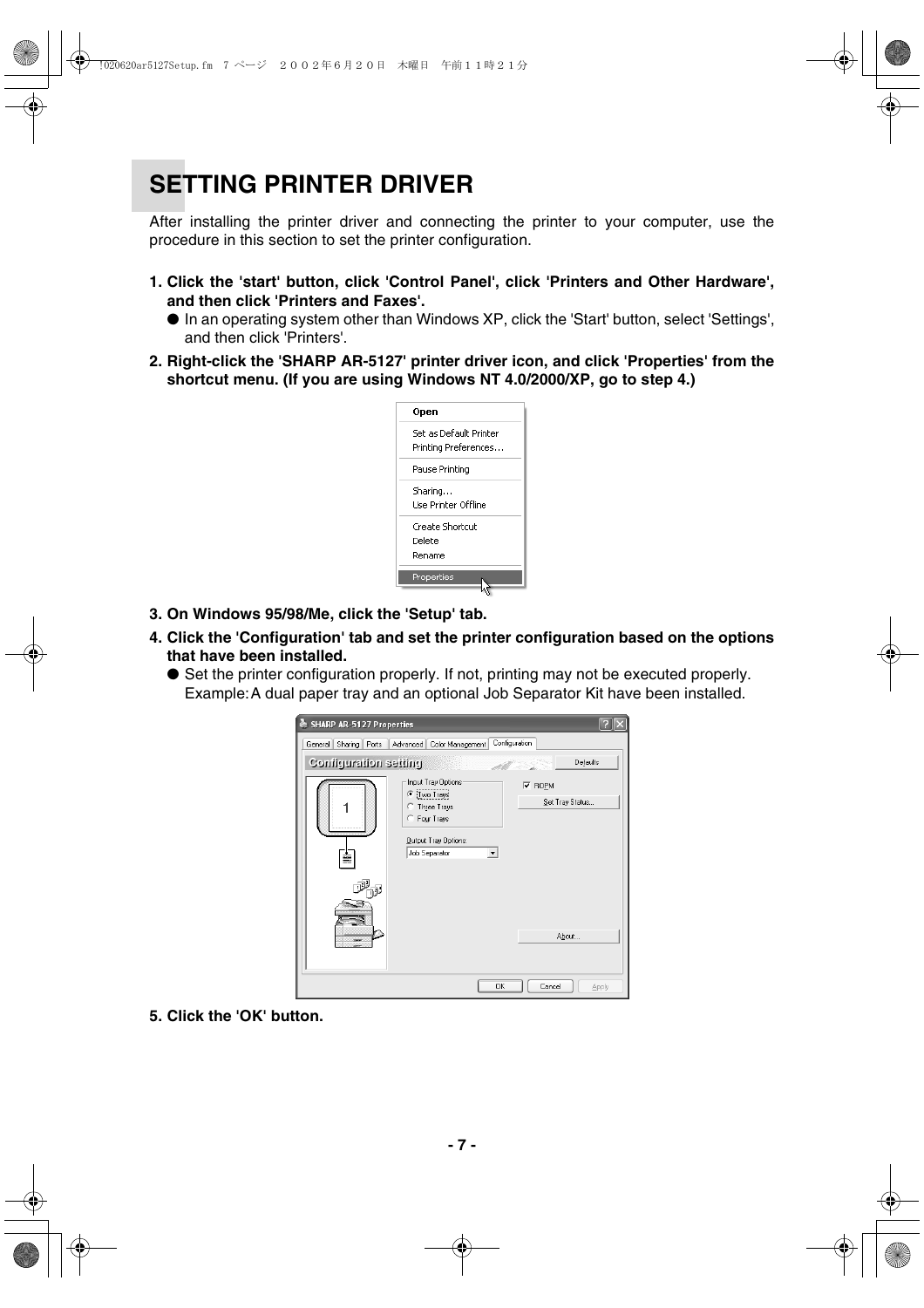# **SETTING PRINTER DRIVER**

After installing the printer driver and connecting the printer to your computer, use the procedure in this section to set the printer configuration.

- **1. Click the 'start' button, click 'Control Panel', click 'Printers and Other Hardware', and then click 'Printers and Faxes'.**
	- In an operating system other than Windows XP, click the 'Start' button, select 'Settings', and then click 'Printers'.
- **2. Right-click the 'SHARP AR-5127' printer driver icon, and click 'Properties' from the shortcut menu. (If you are using Windows NT 4.0/2000/XP, go to step 4.)**



- **3. On Windows 95/98/Me, click the 'Setup' tab.**
- **4. Click the 'Configuration' tab and set the printer configuration based on the options that have been installed.**
	- Set the printer configuration properly. If not, printing may not be executed properly. Example:A dual paper tray and an optional Job Separator Kit have been installed.



**5. Click the 'OK' button.**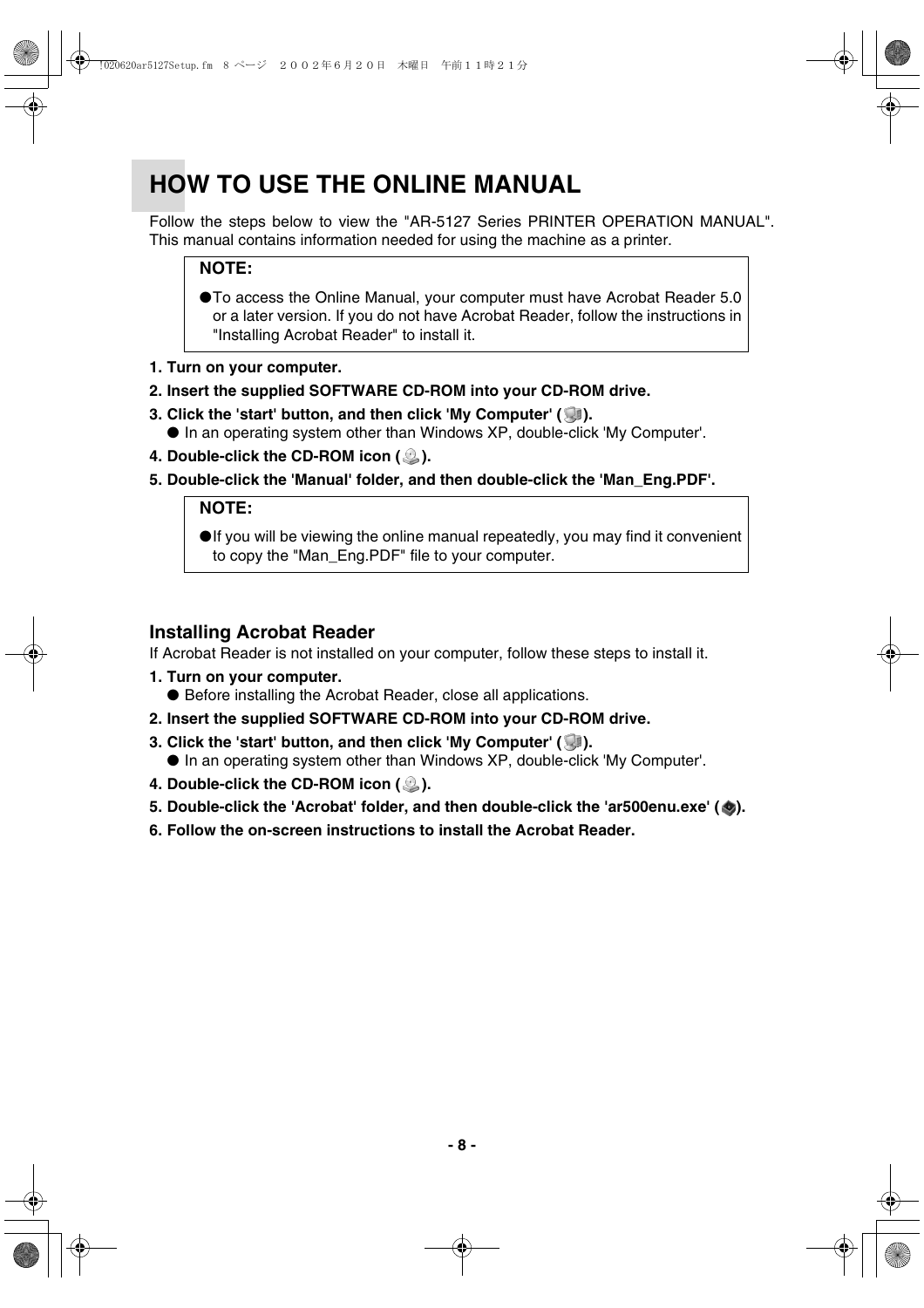# **HOW TO USE THE ONLINE MANUAL**

Follow the steps below to view the "AR-5127 Series PRINTER OPERATION MANUAL". This manual contains information needed for using the machine as a printer.

#### **NOTE:**

● To access the Online Manual, your computer must have Acrobat Reader 5.0 or a later version. If you do not have Acrobat Reader, follow the instructions in "Installing Acrobat Reader" to install it.

- **1. Turn on your computer.**
- **2. Insert the supplied SOFTWARE CD-ROM into your CD-ROM drive.**
- **3. Click the 'start' button, and then click 'My Computer' (1986).** ● In an operating system other than Windows XP, double-click 'My Computer'.
- **4. Double-click the CD-ROM icon ( 2).**
- **5. Double-click the 'Manual' folder, and then double-click the 'Man\_Eng.PDF'.**

#### **NOTE:**

●If you will be viewing the online manual repeatedly, you may find it convenient to copy the "Man\_Eng.PDF" file to your computer.

#### **Installing Acrobat Reader**

If Acrobat Reader is not installed on your computer, follow these steps to install it.

- **1. Turn on your computer.** ● Before installing the Acrobat Reader, close all applications.
- **2. Insert the supplied SOFTWARE CD-ROM into your CD-ROM drive.**
- **3. Click the 'start' button, and then click 'My Computer' (19).** 
	- In an operating system other than Windows XP, double-click 'My Computer'.
- **4. Double-click the CD-ROM icon ( 2).**
- 5. Double-click the 'Acrobat' folder, and then double-click the 'ar500enu.exe' ( $\bullet$ ).
- **6. Follow the on-screen instructions to install the Acrobat Reader.**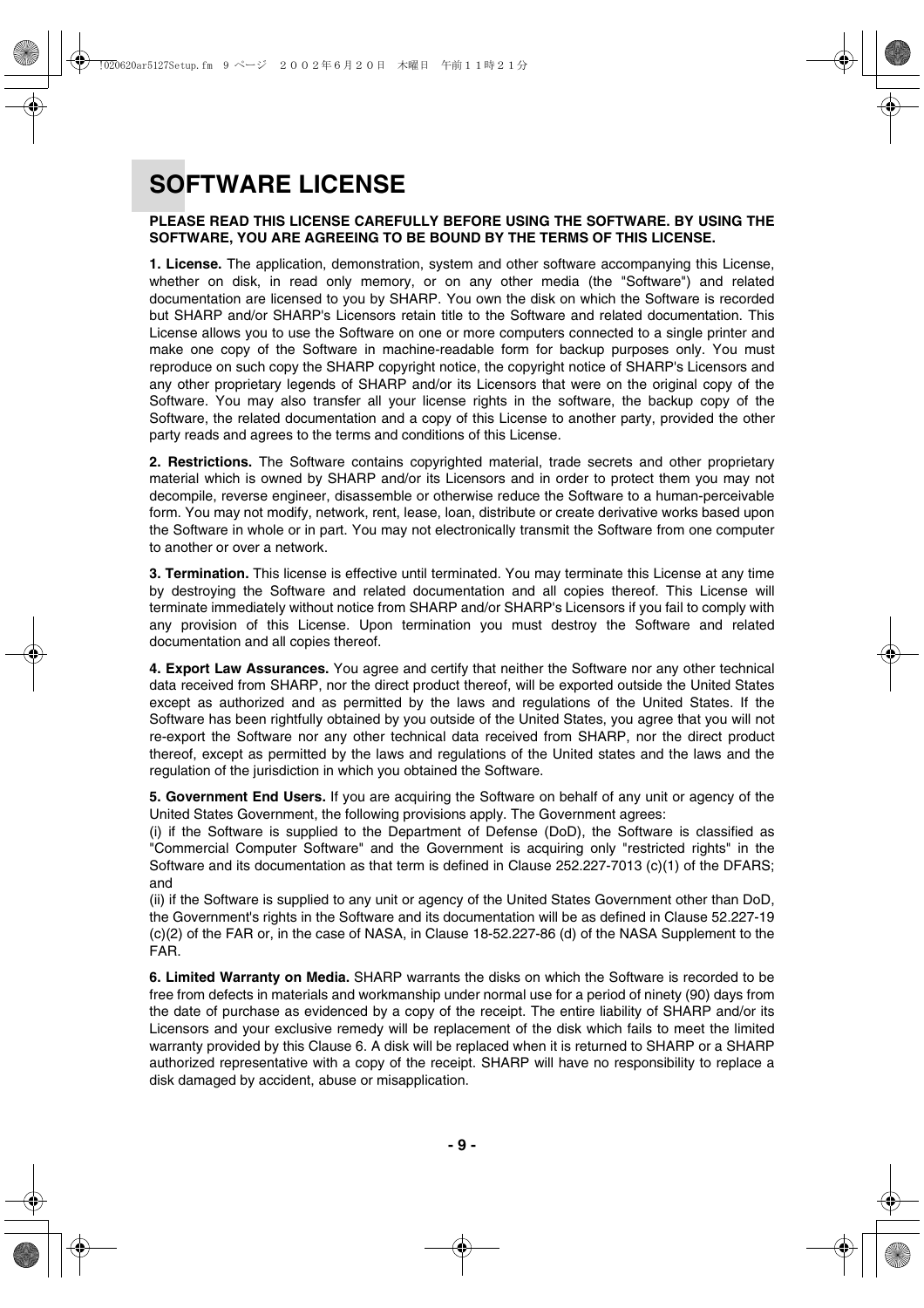# **SOFTWARE LICENSE**

#### **PLEASE READ THIS LICENSE CAREFULLY BEFORE USING THE SOFTWARE. BY USING THE SOFTWARE, YOU ARE AGREEING TO BE BOUND BY THE TERMS OF THIS LICENSE.**

**1. License.** The application, demonstration, system and other software accompanying this License, whether on disk, in read only memory, or on any other media (the "Software") and related documentation are licensed to you by SHARP. You own the disk on which the Software is recorded but SHARP and/or SHARP's Licensors retain title to the Software and related documentation. This License allows you to use the Software on one or more computers connected to a single printer and make one copy of the Software in machine-readable form for backup purposes only. You must reproduce on such copy the SHARP copyright notice, the copyright notice of SHARP's Licensors and any other proprietary legends of SHARP and/or its Licensors that were on the original copy of the Software. You may also transfer all your license rights in the software, the backup copy of the Software, the related documentation and a copy of this License to another party, provided the other party reads and agrees to the terms and conditions of this License.

**2. Restrictions.** The Software contains copyrighted material, trade secrets and other proprietary material which is owned by SHARP and/or its Licensors and in order to protect them you may not decompile, reverse engineer, disassemble or otherwise reduce the Software to a human-perceivable form. You may not modify, network, rent, lease, loan, distribute or create derivative works based upon the Software in whole or in part. You may not electronically transmit the Software from one computer to another or over a network.

**3. Termination.** This license is effective until terminated. You may terminate this License at any time by destroying the Software and related documentation and all copies thereof. This License will terminate immediately without notice from SHARP and/or SHARP's Licensors if you fail to comply with any provision of this License. Upon termination you must destroy the Software and related documentation and all copies thereof.

**4. Export Law Assurances.** You agree and certify that neither the Software nor any other technical data received from SHARP, nor the direct product thereof, will be exported outside the United States except as authorized and as permitted by the laws and regulations of the United States. If the Software has been rightfully obtained by you outside of the United States, you agree that you will not re-export the Software nor any other technical data received from SHARP, nor the direct product thereof, except as permitted by the laws and regulations of the United states and the laws and the regulation of the jurisdiction in which you obtained the Software.

**5. Government End Users.** If you are acquiring the Software on behalf of any unit or agency of the United States Government, the following provisions apply. The Government agrees:

(i) if the Software is supplied to the Department of Defense (DoD), the Software is classified as "Commercial Computer Software" and the Government is acquiring only "restricted rights" in the Software and its documentation as that term is defined in Clause 252.227-7013 (c)(1) of the DFARS; and

(ii) if the Software is supplied to any unit or agency of the United States Government other than DoD, the Government's rights in the Software and its documentation will be as defined in Clause 52.227-19 (c)(2) of the FAR or, in the case of NASA, in Clause 18-52.227-86 (d) of the NASA Supplement to the FAR.

**6. Limited Warranty on Media.** SHARP warrants the disks on which the Software is recorded to be free from defects in materials and workmanship under normal use for a period of ninety (90) days from the date of purchase as evidenced by a copy of the receipt. The entire liability of SHARP and/or its Licensors and your exclusive remedy will be replacement of the disk which fails to meet the limited warranty provided by this Clause 6. A disk will be replaced when it is returned to SHARP or a SHARP authorized representative with a copy of the receipt. SHARP will have no responsibility to replace a disk damaged by accident, abuse or misapplication.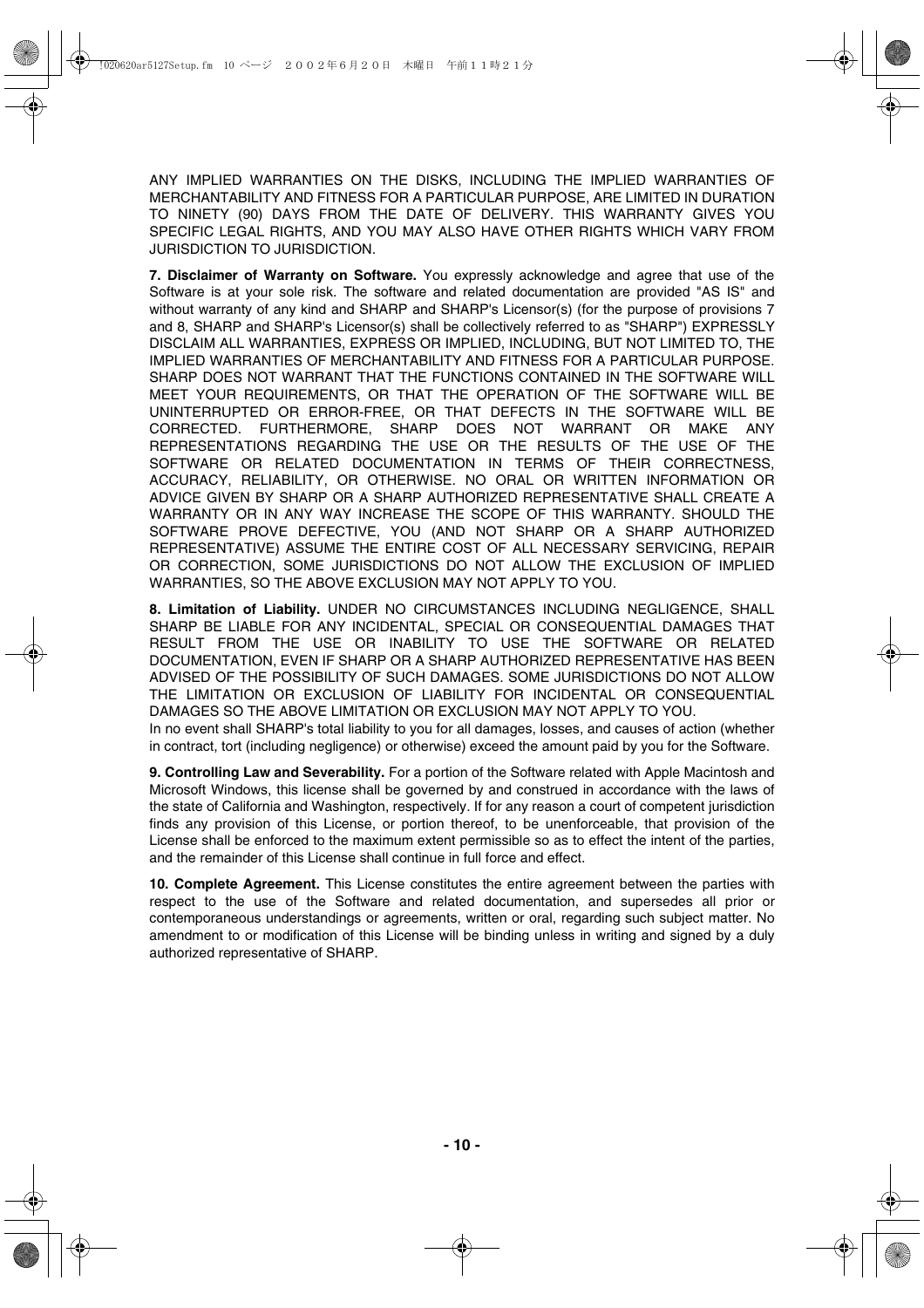ANY IMPLIED WARRANTIES ON THE DISKS, INCLUDING THE IMPLIED WARRANTIES OF MERCHANTABILITY AND FITNESS FOR A PARTICULAR PURPOSE, ARE LIMITED IN DURATION TO NINETY (90) DAYS FROM THE DATE OF DELIVERY. THIS WARRANTY GIVES YOU SPECIFIC LEGAL RIGHTS, AND YOU MAY ALSO HAVE OTHER RIGHTS WHICH VARY FROM JURISDICTION TO JURISDICTION.

**7. Disclaimer of Warranty on Software.** You expressly acknowledge and agree that use of the Software is at your sole risk. The software and related documentation are provided "AS IS" and without warranty of any kind and SHARP and SHARP's Licensor(s) (for the purpose of provisions 7 and 8, SHARP and SHARP's Licensor(s) shall be collectively referred to as "SHARP") EXPRESSLY DISCLAIM ALL WARRANTIES, EXPRESS OR IMPLIED, INCLUDING, BUT NOT LIMITED TO, THE IMPLIED WARRANTIES OF MERCHANTABILITY AND FITNESS FOR A PARTICULAR PURPOSE. SHARP DOES NOT WARRANT THAT THE FUNCTIONS CONTAINED IN THE SOFTWARE WILL MEET YOUR REQUIREMENTS, OR THAT THE OPERATION OF THE SOFTWARE WILL BE UNINTERRUPTED OR ERROR-FREE, OR THAT DEFECTS IN THE SOFTWARE WILL BE CORRECTED. FURTHERMORE, SHARP DOES NOT WARRANT OR MAKE ANY REPRESENTATIONS REGARDING THE USE OR THE RESULTS OF THE USE OF THE SOFTWARE OR RELATED DOCUMENTATION IN TERMS OF THEIR CORRECTNESS, ACCURACY, RELIABILITY, OR OTHERWISE. NO ORAL OR WRITTEN INFORMATION OR ADVICE GIVEN BY SHARP OR A SHARP AUTHORIZED REPRESENTATIVE SHALL CREATE A WARRANTY OR IN ANY WAY INCREASE THE SCOPE OF THIS WARRANTY. SHOULD THE SOFTWARE PROVE DEFECTIVE, YOU (AND NOT SHARP OR A SHARP AUTHORIZED REPRESENTATIVE) ASSUME THE ENTIRE COST OF ALL NECESSARY SERVICING, REPAIR OR CORRECTION, SOME JURISDICTIONS DO NOT ALLOW THE EXCLUSION OF IMPLIED WARRANTIES, SO THE ABOVE EXCLUSION MAY NOT APPLY TO YOU.

**8. Limitation of Liability.** UNDER NO CIRCUMSTANCES INCLUDING NEGLIGENCE, SHALL SHARP BE LIABLE FOR ANY INCIDENTAL, SPECIAL OR CONSEQUENTIAL DAMAGES THAT RESULT FROM THE USE OR INABILITY TO USE THE SOFTWARE OR RELATED DOCUMENTATION, EVEN IF SHARP OR A SHARP AUTHORIZED REPRESENTATIVE HAS BEEN ADVISED OF THE POSSIBILITY OF SUCH DAMAGES. SOME JURISDICTIONS DO NOT ALLOW THE LIMITATION OR EXCLUSION OF LIABILITY FOR INCIDENTAL OR CONSEQUENTIAL DAMAGES SO THE ABOVE LIMITATION OR EXCLUSION MAY NOT APPLY TO YOU.

In no event shall SHARP's total liability to you for all damages, losses, and causes of action (whether in contract, tort (including negligence) or otherwise) exceed the amount paid by you for the Software.

**9. Controlling Law and Severability.** For a portion of the Software related with Apple Macintosh and Microsoft Windows, this license shall be governed by and construed in accordance with the laws of the state of California and Washington, respectively. If for any reason a court of competent jurisdiction finds any provision of this License, or portion thereof, to be unenforceable, that provision of the License shall be enforced to the maximum extent permissible so as to effect the intent of the parties, and the remainder of this License shall continue in full force and effect.

**10. Complete Agreement.** This License constitutes the entire agreement between the parties with respect to the use of the Software and related documentation, and supersedes all prior or contemporaneous understandings or agreements, written or oral, regarding such subject matter. No amendment to or modification of this License will be binding unless in writing and signed by a duly authorized representative of SHARP.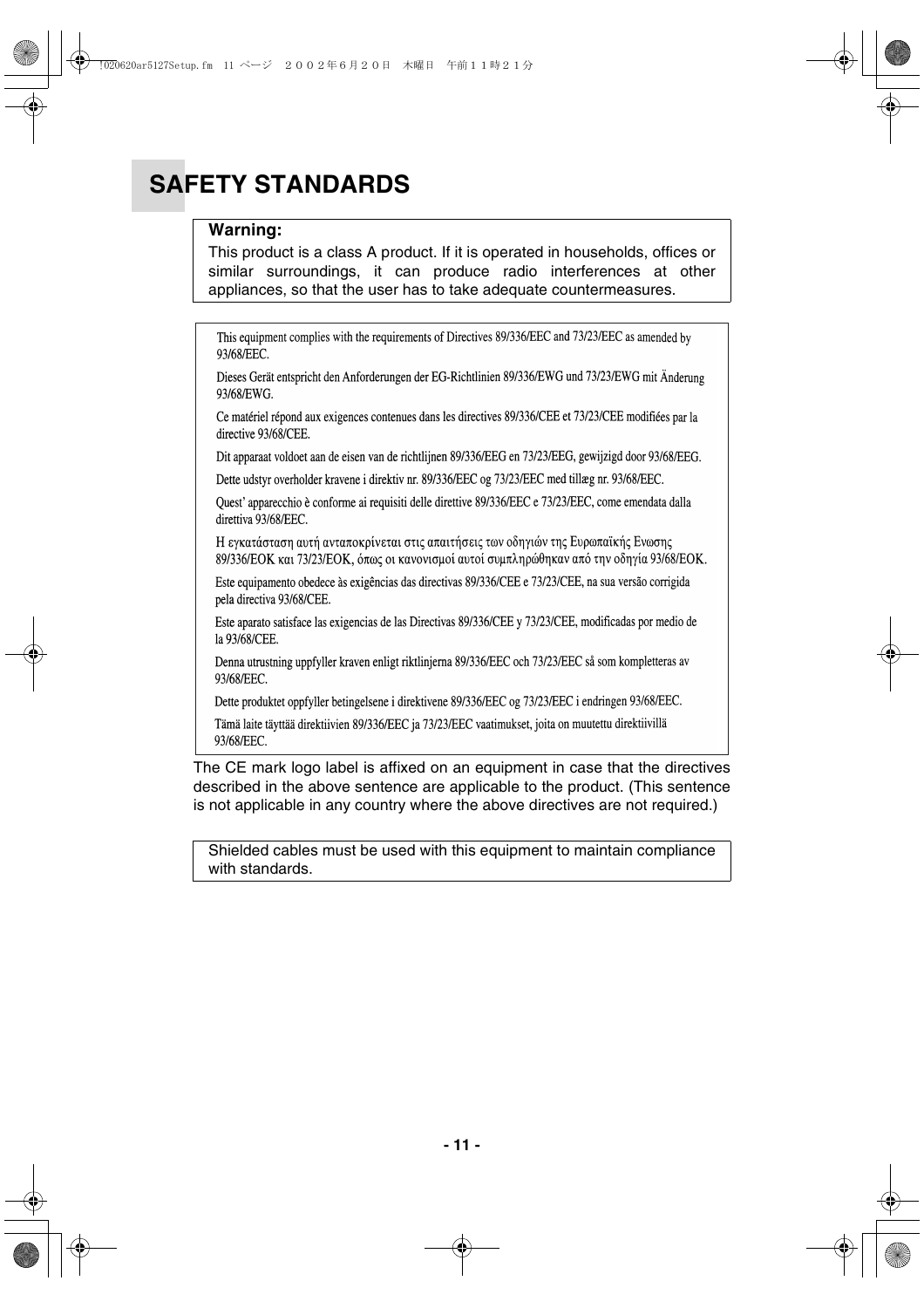# **SAFETY STANDARDS**

#### **Warning:**

This product is a class A product. If it is operated in households, offices or similar surroundings, it can produce radio interferences at other appliances, so that the user has to take adequate countermeasures.

This equipment complies with the requirements of Directives 89/336/EEC and 73/23/EEC as amended by 93/68/EEC.

Dieses Gerät entspricht den Anforderungen der EG-Richtlinien 89/336/EWG und 73/23/EWG mit Änderung 93/68/EWG.

Ce matériel répond aux exigences contenues dans les directives 89/336/CEE et 73/23/CEE modifiées par la directive 93/68/CEE.

Dit apparaat voldoet aan de eisen van de richtlijnen 89/336/EEG en 73/23/EEG, gewijzigd door 93/68/EEG.

Dette udstyr overholder kravene i direktiv nr. 89/336/EEC og 73/23/EEC med tillæg nr. 93/68/EEC.

Quest' apparecchio è conforme ai requisiti delle direttive 89/336/EEC e 73/23/EEC, come emendata dalla direttiva 93/68/EEC.

Η εγκατάσταση αυτή ανταποκρίνεται στις απαιτήσεις των οδηγιών της Ευρωπαϊκής Ενωσης 89/336/ΕΟΚ και 73/23/ΕΟΚ, όπως οι κανονισμοί αυτοί συμπληρώθηκαν από την οδηγία 93/68/ΕΟΚ.

Este equipamento obedece às exigências das directivas 89/336/CEE e 73/23/CEE, na sua versão corrigida pela directiva 93/68/CEE.

Este aparato satisface las exigencias de las Directivas 89/336/CEE y 73/23/CEE, modificadas por medio de la 93/68/CEE.

Denna utrustning uppfyller kraven enligt riktlinjerna 89/336/EEC och 73/23/EEC så som kompletteras av 93/68/EEC.

Dette produktet oppfyller betingelsene i direktivene 89/336/EEC og 73/23/EEC i endringen 93/68/EEC.

Tämä laite täyttää direktiivien 89/336/EEC ja 73/23/EEC vaatimukset, joita on muutettu direktiivillä 93/68/EEC.

The CE mark logo label is affixed on an equipment in case that the directives described in the above sentence are applicable to the product. (This sentence is not applicable in any country where the above directives are not required.)

Shielded cables must be used with this equipment to maintain compliance with standards.